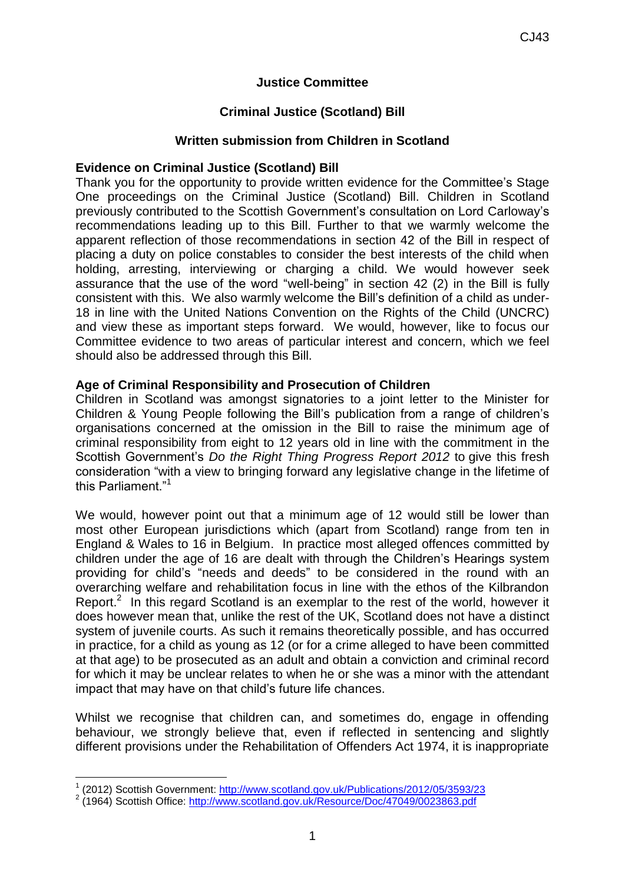## **Justice Committee**

# **Criminal Justice (Scotland) Bill**

### **Written submission from Children in Scotland**

### **Evidence on Criminal Justice (Scotland) Bill**

Thank you for the opportunity to provide written evidence for the Committee's Stage One proceedings on the Criminal Justice (Scotland) Bill. Children in Scotland previously contributed to the Scottish Government's consultation on Lord Carloway's recommendations leading up to this Bill. Further to that we warmly welcome the apparent reflection of those recommendations in section 42 of the Bill in respect of placing a duty on police constables to consider the best interests of the child when holding, arresting, interviewing or charging a child. We would however seek assurance that the use of the word "well-being" in section 42 (2) in the Bill is fully consistent with this. We also warmly welcome the Bill's definition of a child as under-18 in line with the United Nations Convention on the Rights of the Child (UNCRC) and view these as important steps forward. We would, however, like to focus our Committee evidence to two areas of particular interest and concern, which we feel should also be addressed through this Bill.

### **Age of Criminal Responsibility and Prosecution of Children**

Children in Scotland was amongst signatories to a joint letter to the Minister for Children & Young People following the Bill's publication from a range of children's organisations concerned at the omission in the Bill to raise the minimum age of criminal responsibility from eight to 12 years old in line with the commitment in the Scottish Government's *Do the Right Thing Progress Report 2012* to give this fresh consideration "with a view to bringing forward any legislative change in the lifetime of this Parliament."<sup>1</sup>

We would, however point out that a minimum age of 12 would still be lower than most other European jurisdictions which (apart from Scotland) range from ten in England & Wales to 16 in Belgium. In practice most alleged offences committed by children under the age of 16 are dealt with through the Children's Hearings system providing for child's "needs and deeds" to be considered in the round with an overarching welfare and rehabilitation focus in line with the ethos of the Kilbrandon Report. $2$  In this regard Scotland is an exemplar to the rest of the world, however it does however mean that, unlike the rest of the UK, Scotland does not have a distinct system of juvenile courts. As such it remains theoretically possible, and has occurred in practice, for a child as young as 12 (or for a crime alleged to have been committed at that age) to be prosecuted as an adult and obtain a conviction and criminal record for which it may be unclear relates to when he or she was a minor with the attendant impact that may have on that child's future life chances.

Whilst we recognise that children can, and sometimes do, engage in offending behaviour, we strongly believe that, even if reflected in sentencing and slightly different provisions under the Rehabilitation of Offenders Act 1974, it is inappropriate

-

<sup>&</sup>lt;sup>1</sup> (2012) Scottish Government:<http://www.scotland.gov.uk/Publications/2012/05/3593/23>

<sup>&</sup>lt;sup>2</sup> (1964) Scottish Office:<http://www.scotland.gov.uk/Resource/Doc/47049/0023863.pdf>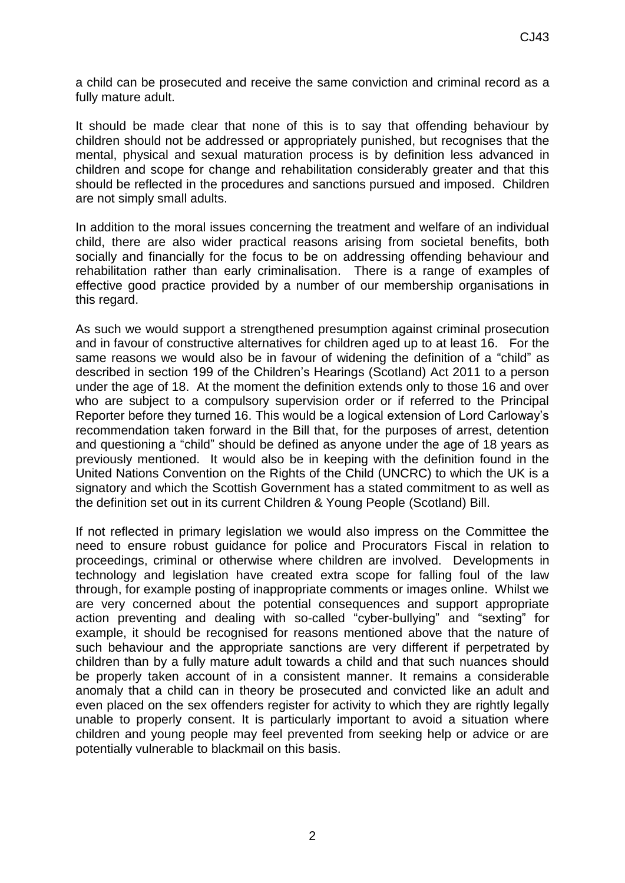a child can be prosecuted and receive the same conviction and criminal record as a fully mature adult.

It should be made clear that none of this is to say that offending behaviour by children should not be addressed or appropriately punished, but recognises that the mental, physical and sexual maturation process is by definition less advanced in children and scope for change and rehabilitation considerably greater and that this should be reflected in the procedures and sanctions pursued and imposed. Children are not simply small adults.

In addition to the moral issues concerning the treatment and welfare of an individual child, there are also wider practical reasons arising from societal benefits, both socially and financially for the focus to be on addressing offending behaviour and rehabilitation rather than early criminalisation. There is a range of examples of effective good practice provided by a number of our membership organisations in this regard.

As such we would support a strengthened presumption against criminal prosecution and in favour of constructive alternatives for children aged up to at least 16. For the same reasons we would also be in favour of widening the definition of a "child" as described in section 199 of the Children's Hearings (Scotland) Act 2011 to a person under the age of 18. At the moment the definition extends only to those 16 and over who are subject to a compulsory supervision order or if referred to the Principal Reporter before they turned 16. This would be a logical extension of Lord Carloway's recommendation taken forward in the Bill that, for the purposes of arrest, detention and questioning a "child" should be defined as anyone under the age of 18 years as previously mentioned. It would also be in keeping with the definition found in the United Nations Convention on the Rights of the Child (UNCRC) to which the UK is a signatory and which the Scottish Government has a stated commitment to as well as the definition set out in its current Children & Young People (Scotland) Bill.

If not reflected in primary legislation we would also impress on the Committee the need to ensure robust guidance for police and Procurators Fiscal in relation to proceedings, criminal or otherwise where children are involved. Developments in technology and legislation have created extra scope for falling foul of the law through, for example posting of inappropriate comments or images online. Whilst we are very concerned about the potential consequences and support appropriate action preventing and dealing with so-called "cyber-bullying" and "sexting" for example, it should be recognised for reasons mentioned above that the nature of such behaviour and the appropriate sanctions are very different if perpetrated by children than by a fully mature adult towards a child and that such nuances should be properly taken account of in a consistent manner. It remains a considerable anomaly that a child can in theory be prosecuted and convicted like an adult and even placed on the sex offenders register for activity to which they are rightly legally unable to properly consent. It is particularly important to avoid a situation where children and young people may feel prevented from seeking help or advice or are potentially vulnerable to blackmail on this basis.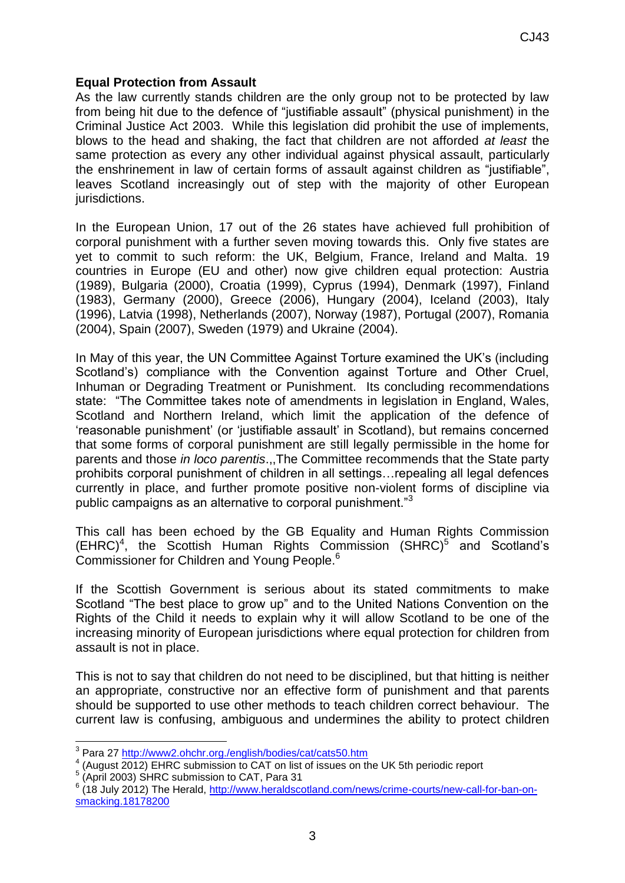### **Equal Protection from Assault**

As the law currently stands children are the only group not to be protected by law from being hit due to the defence of "justifiable assault" (physical punishment) in the Criminal Justice Act 2003. While this legislation did prohibit the use of implements, blows to the head and shaking, the fact that children are not afforded *at least* the same protection as every any other individual against physical assault, particularly the enshrinement in law of certain forms of assault against children as "justifiable", leaves Scotland increasingly out of step with the majority of other European jurisdictions.

In the European Union, 17 out of the 26 states have achieved full prohibition of corporal punishment with a further seven moving towards this. Only five states are yet to commit to such reform: the UK, Belgium, France, Ireland and Malta. 19 countries in Europe (EU and other) now give children equal protection: Austria (1989), Bulgaria (2000), Croatia (1999), Cyprus (1994), Denmark (1997), Finland (1983), Germany (2000), Greece (2006), Hungary (2004), Iceland (2003), Italy (1996), Latvia (1998), Netherlands (2007), Norway (1987), Portugal (2007), Romania (2004), Spain (2007), Sweden (1979) and Ukraine (2004).

In May of this year, the UN Committee Against Torture examined the UK's (including Scotland's) compliance with the Convention against Torture and Other Cruel, Inhuman or Degrading Treatment or Punishment. Its concluding recommendations state: "The Committee takes note of amendments in legislation in England, Wales, Scotland and Northern Ireland, which limit the application of the defence of 'reasonable punishment' (or 'justifiable assault' in Scotland), but remains concerned that some forms of corporal punishment are still legally permissible in the home for parents and those *in loco parentis*.,,The Committee recommends that the State party prohibits corporal punishment of children in all settings…repealing all legal defences currently in place, and further promote positive non-violent forms of discipline via public campaigns as an alternative to corporal punishment."<sup>3</sup>

This call has been echoed by the GB Equality and Human Rights Commission  $(EHRC)^4$ , the Scottish Human Rights Commission  $(SHRC)^5$  and Scotland's Commissioner for Children and Young People.<sup>6</sup>

If the Scottish Government is serious about its stated commitments to make Scotland "The best place to grow up" and to the United Nations Convention on the Rights of the Child it needs to explain why it will allow Scotland to be one of the increasing minority of European jurisdictions where equal protection for children from assault is not in place.

This is not to say that children do not need to be disciplined, but that hitting is neither an appropriate, constructive nor an effective form of punishment and that parents should be supported to use other methods to teach children correct behaviour. The current law is confusing, ambiguous and undermines the ability to protect children

4 (August 2012) EHRC submission to CAT on list of issues on the UK 5th periodic report

<sup>6</sup> (18 July 2012) The Herald, [http://www.heraldscotland.com/news/crime-courts/new-call-for-ban-on](http://www.heraldscotland.com/news/crime-courts/new-call-for-ban-on-smacking.18178200)[smacking.18178200](http://www.heraldscotland.com/news/crime-courts/new-call-for-ban-on-smacking.18178200)

 3 Para 27<http://www2.ohchr.org./english/bodies/cat/cats50.htm>

<sup>&</sup>lt;sup>5</sup> (April 2003) SHRC submission to CAT, Para 31